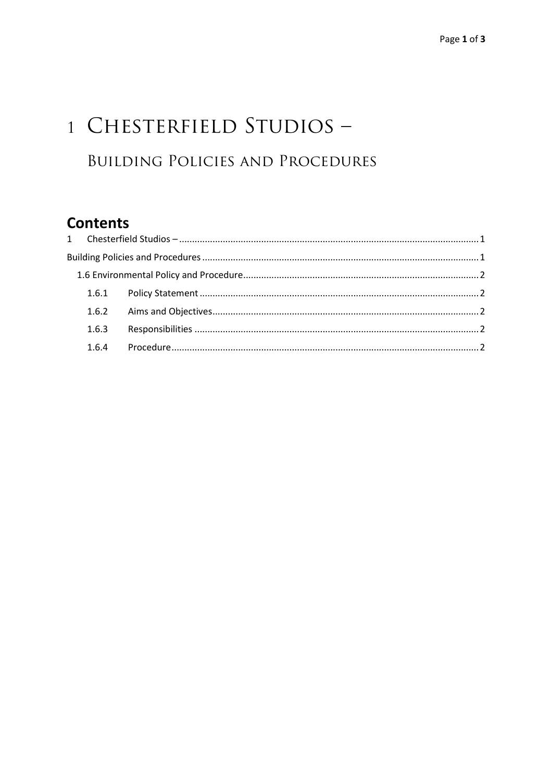# 1 CHESTERFIELD STUDIOS -**BUILDING POLICIES AND PROCEDURES**

# **Contents**

|  | 1.6.3 |  |  |
|--|-------|--|--|
|  | 1.6.4 |  |  |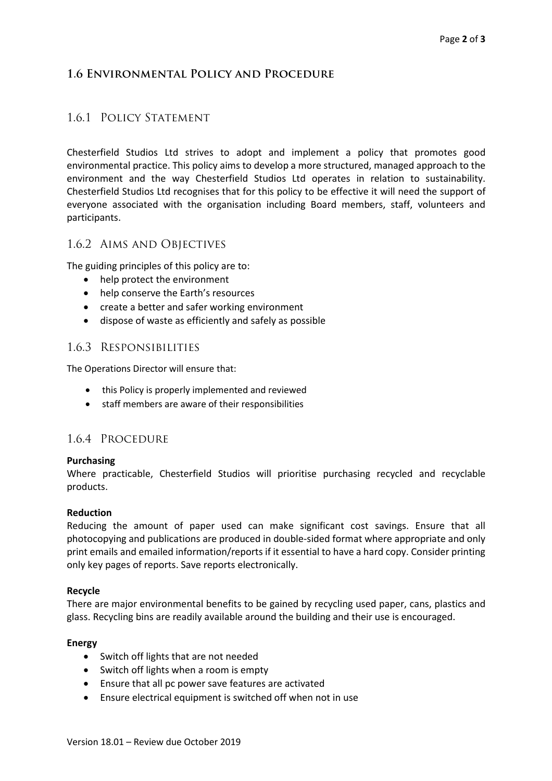## **1.6 Environmental Policy and Procedure**

### 1.6.1 Policy Statement

Chesterfield Studios Ltd strives to adopt and implement a policy that promotes good environmental practice. This policy aims to develop a more structured, managed approach to the environment and the way Chesterfield Studios Ltd operates in relation to sustainability. Chesterfield Studios Ltd recognises that for this policy to be effective it will need the support of everyone associated with the organisation including Board members, staff, volunteers and participants.

#### 1.6.2 Aims and Objectives

The guiding principles of this policy are to:

- help protect the environment
- help conserve the Earth's resources
- create a better and safer working environment
- dispose of waste as efficiently and safely as possible

#### 1.6.3 Responsibilities

The Operations Director will ensure that:

- this Policy is properly implemented and reviewed
- staff members are aware of their responsibilities

#### 1.6.4 Procedure

#### **Purchasing**

Where practicable, Chesterfield Studios will prioritise purchasing recycled and recyclable products.

#### **Reduction**

Reducing the amount of paper used can make significant cost savings. Ensure that all photocopying and publications are produced in double-sided format where appropriate and only print emails and emailed information/reports if it essential to have a hard copy. Consider printing only key pages of reports. Save reports electronically.

#### **Recycle**

There are major environmental benefits to be gained by recycling used paper, cans, plastics and glass. Recycling bins are readily available around the building and their use is encouraged.

#### **Energy**

- Switch off lights that are not needed
- Switch off lights when a room is empty
- Ensure that all pc power save features are activated
- Ensure electrical equipment is switched off when not in use